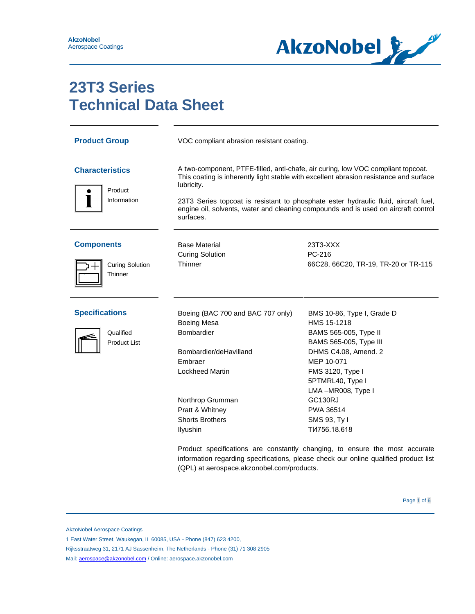

# **23T3 Series Technical Data Sheet**

| <b>Product Group</b>                                      | VOC compliant abrasion resistant coating.                                                                                                                                                                                                                                                                                                                                          |                                                                                                                                                                                                                                                                                                                                                                                                                                       |
|-----------------------------------------------------------|------------------------------------------------------------------------------------------------------------------------------------------------------------------------------------------------------------------------------------------------------------------------------------------------------------------------------------------------------------------------------------|---------------------------------------------------------------------------------------------------------------------------------------------------------------------------------------------------------------------------------------------------------------------------------------------------------------------------------------------------------------------------------------------------------------------------------------|
| <b>Characteristics</b><br>Product<br>Information          | A two-component, PTFE-filled, anti-chafe, air curing, low VOC compliant topcoat.<br>This coating is inherently light stable with excellent abrasion resistance and surface<br>lubricity.<br>23T3 Series topcoat is resistant to phosphate ester hydraulic fluid, aircraft fuel,<br>engine oil, solvents, water and cleaning compounds and is used on aircraft control<br>surfaces. |                                                                                                                                                                                                                                                                                                                                                                                                                                       |
| <b>Components</b><br><b>Curing Solution</b><br>Thinner    | <b>Base Material</b><br><b>Curing Solution</b><br>Thinner                                                                                                                                                                                                                                                                                                                          | 23T3-XXX<br>PC-216<br>66C28, 66C20, TR-19, TR-20 or TR-115                                                                                                                                                                                                                                                                                                                                                                            |
| <b>Specifications</b><br>Qualified<br><b>Product List</b> | Boeing (BAC 700 and BAC 707 only)<br><b>Boeing Mesa</b><br>Bombardier<br>Bombardier/deHavilland<br>Embraer<br><b>Lockheed Martin</b><br>Northrop Grumman<br>Pratt & Whitney<br><b>Shorts Brothers</b><br>Ilyushin<br>(QPL) at aerospace.akzonobel.com/products.                                                                                                                    | BMS 10-86, Type I, Grade D<br>HMS 15-1218<br>BAMS 565-005, Type II<br>BAMS 565-005, Type III<br>DHMS C4.08, Amend. 2<br>MEP 10-071<br>FMS 3120, Type I<br>5PTMRL40, Type I<br>LMA-MR008, Type I<br><b>GC130RJ</b><br>PWA 36514<br>SMS 93, Ty I<br>TW756.18.618<br>Product specifications are constantly changing, to ensure the most accurate<br>information regarding specifications, please check our online qualified product list |

AkzoNobel Aerospace Coatings

1 East Water Street, Waukegan, IL 60085, USA - Phone (847) 623 4200,

Rijksstraatweg 31, 2171 AJ Sassenheim, The Netherlands - Phone (31) 71 308 2905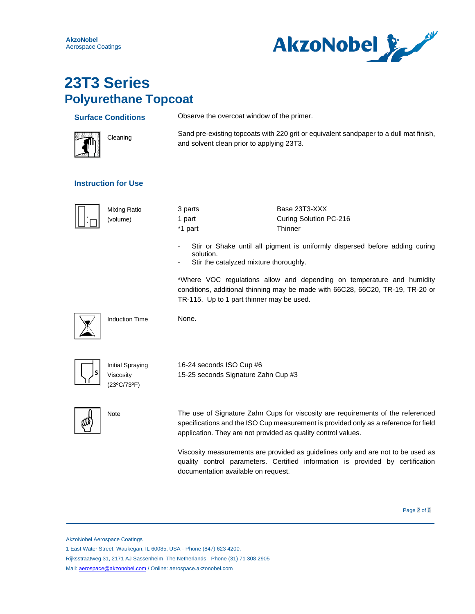

### **23T3 Series Polyurethane Topcoat**

| <b>Ulyultulatic TUpcoal</b>                  |                                                                 |                                                                                                                                                                                                                                          |  |  |
|----------------------------------------------|-----------------------------------------------------------------|------------------------------------------------------------------------------------------------------------------------------------------------------------------------------------------------------------------------------------------|--|--|
| <b>Surface Conditions</b>                    |                                                                 | Observe the overcoat window of the primer.                                                                                                                                                                                               |  |  |
| Cleaning                                     |                                                                 | Sand pre-existing topcoats with 220 grit or equivalent sandpaper to a dull mat finish,<br>and solvent clean prior to applying 23T3.                                                                                                      |  |  |
| <b>Instruction for Use</b>                   |                                                                 |                                                                                                                                                                                                                                          |  |  |
| <b>Mixing Ratio</b><br>(volume)              | 3 parts<br>1 part<br>*1 part                                    | Base 23T3-XXX<br>Curing Solution PC-216<br>Thinner                                                                                                                                                                                       |  |  |
|                                              | solution.                                                       | Stir or Shake until all pigment is uniformly dispersed before adding curing<br>Stir the catalyzed mixture thoroughly.                                                                                                                    |  |  |
|                                              |                                                                 | *Where VOC regulations allow and depending on temperature and humidity<br>conditions, additional thinning may be made with 66C28, 66C20, TR-19, TR-20 or<br>TR-115. Up to 1 part thinner may be used.                                    |  |  |
| <b>Induction Time</b>                        | None.                                                           |                                                                                                                                                                                                                                          |  |  |
| Initial Spraying<br>Viscosity<br>(23°C/73°F) | 16-24 seconds ISO Cup #6<br>15-25 seconds Signature Zahn Cup #3 |                                                                                                                                                                                                                                          |  |  |
| Note                                         |                                                                 | The use of Signature Zahn Cups for viscosity are requirements of the referenced<br>specifications and the ISO Cup measurement is provided only as a reference for field<br>application. They are not provided as quality control values. |  |  |
|                                              | documentation available on request.                             | Viscosity measurements are provided as guidelines only and are not to be used as<br>quality control parameters. Certified information is provided by certification                                                                       |  |  |

Page 2 of 6

AkzoNobel Aerospace Coatings

1 East Water Street, Waukegan, IL 60085, USA - Phone (847) 623 4200,

Rijksstraatweg 31, 2171 AJ Sassenheim, The Netherlands - Phone (31) 71 308 2905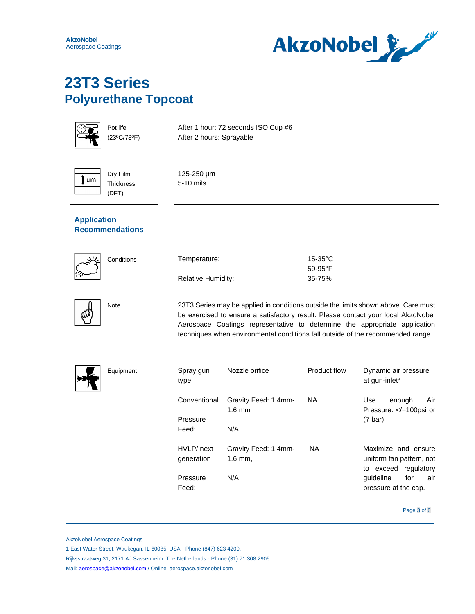**AkzoNobel** Aerospace Coatings



### **23T3 Series Polyurethane Topcoat**

|--|

Pot life (23ºC/73ºF)

Dry Film **Thickness** (DFT)

After 1 hour: 72 seconds ISO Cup #6 After 2 hours: Sprayable



125-250 µm 5-10 mils

### **Application Recommendations**

|--|

| Conditions | Temperature:              | $15-35$ °C       |
|------------|---------------------------|------------------|
|            |                           | $59-95^{\circ}F$ |
|            | <b>Relative Humidity:</b> | 35-75%           |



Note 23T3 Series may be applied in conditions outside the limits shown above. Care must be exercised to ensure a satisfactory result. Please contact your local AkzoNobel Aerospace Coatings representative to determine the appropriate application techniques when environmental conditions fall outside of the recommended range.



Equipment

| Spray gun<br>type | Nozzle orifice                           | Product flow | Dynamic air pressure<br>at gun-inlet*                  |
|-------------------|------------------------------------------|--------------|--------------------------------------------------------|
| Conventional      | Gravity Feed: 1.4mm-<br>$1.6 \text{ mm}$ | NA.          | Air<br>Use<br>enough<br>Pressure. =100psi or</td       |
| Pressure          |                                          |              | $(7 \text{ bar})$                                      |
| Feed:             | N/A                                      |              |                                                        |
| HVLP/ next        | Gravity Feed: 1.4mm-                     | <b>NA</b>    | Maximize and ensure                                    |
| generation        | $1.6$ mm,                                |              | uniform fan pattern, not<br>regulatory<br>exceed<br>to |
| Pressure<br>Feed: | N/A                                      |              | quideline<br>for<br>air<br>pressure at the cap.        |

Page 3 of 6

AkzoNobel Aerospace Coatings

1 East Water Street, Waukegan, IL 60085, USA - Phone (847) 623 4200,

Rijksstraatweg 31, 2171 AJ Sassenheim, The Netherlands - Phone (31) 71 308 2905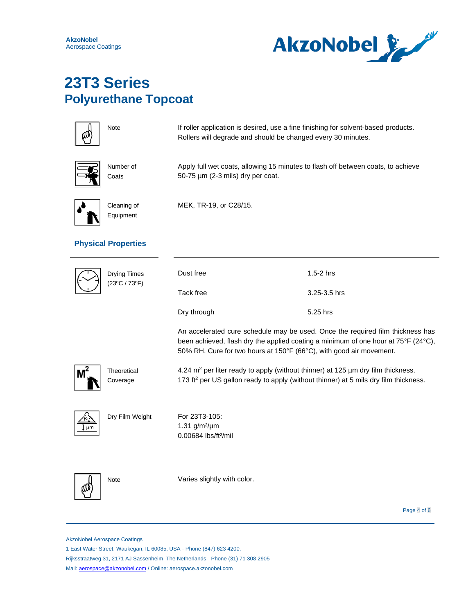

## **23T3 Series Polyurethane Topcoat**



Note **If roller application is desired, use a fine finishing for solvent-based products.** Rollers will degrade and should be changed every 30 minutes.

|--|

Apply full wet coats, allowing 15 minutes to flash off between coats, to achieve 50-75 µm (2-3 mils) dry per coat.



Cleaning of Equipment

Number of **Coats** 

MEK, TR-19, or C28/15.

### **Physical Properties**

| <b>Drying Times</b><br>(23°C / 73°F) | Dust free<br>Tack free                                                                                                                                                                      | $1.5 - 2$ hrs<br>3.25-3.5 hrs                                                                                                                                                             |
|--------------------------------------|---------------------------------------------------------------------------------------------------------------------------------------------------------------------------------------------|-------------------------------------------------------------------------------------------------------------------------------------------------------------------------------------------|
|                                      | Dry through                                                                                                                                                                                 | 5.25 hrs                                                                                                                                                                                  |
|                                      | 50% RH. Cure for two hours at 150°F (66°C), with good air movement.                                                                                                                         | An accelerated cure schedule may be used. Once the required film thickness has<br>been achieved, flash dry the applied coating a minimum of one hour at $75^{\circ}$ F (24 $^{\circ}$ C), |
| Theoretical<br>Coverage              | 4.24 $m2$ per liter ready to apply (without thinner) at 125 $\mu$ m dry film thickness.<br>173 ft <sup>2</sup> per US gallon ready to apply (without thinner) at 5 mils dry film thickness. |                                                                                                                                                                                           |
| Dry Film Weight                      | For 23T3-105:<br>1.31 $g/m^2/\mu m$<br>$0.00684$ lbs/ft <sup>2</sup> /mil                                                                                                                   |                                                                                                                                                                                           |
| <b>Note</b>                          | Varies slightly with color.                                                                                                                                                                 |                                                                                                                                                                                           |

Page 4 of 6

AkzoNobel Aerospace Coatings

1 East Water Street, Waukegan, IL 60085, USA - Phone (847) 623 4200,

Rijksstraatweg 31, 2171 AJ Sassenheim, The Netherlands - Phone (31) 71 308 2905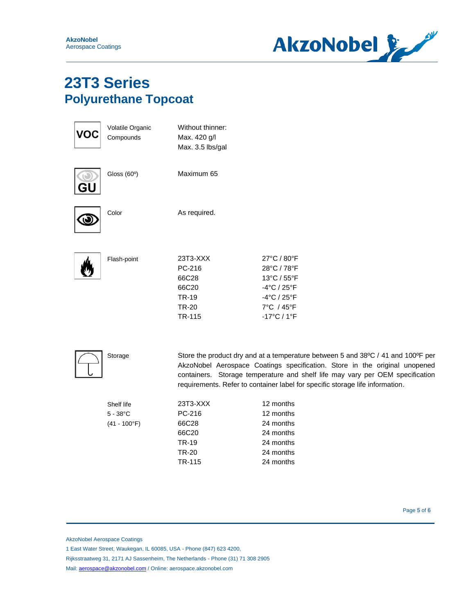**AkzoNobel** Aerospace Coatings



### **23T3 Series Polyurethane Topcoat**

|    | Volatile Organic<br>Compounds                | Without thinner:<br>Max. 420 g/l<br>Max. 3.5 lbs/gal                                                                                                                                                                                                                                                                             |                                                                                                                                         |
|----|----------------------------------------------|----------------------------------------------------------------------------------------------------------------------------------------------------------------------------------------------------------------------------------------------------------------------------------------------------------------------------------|-----------------------------------------------------------------------------------------------------------------------------------------|
| GU | Gloss (60°)                                  | Maximum 65                                                                                                                                                                                                                                                                                                                       |                                                                                                                                         |
|    | Color                                        | As required.                                                                                                                                                                                                                                                                                                                     |                                                                                                                                         |
|    | Flash-point                                  | 23T3-XXX<br>PC-216<br>66C28<br>66C20<br><b>TR-19</b><br><b>TR-20</b><br>TR-115                                                                                                                                                                                                                                                   | 27°C / 80°F<br>28°C / 78°F<br>13°C / 55°F<br>$-4^{\circ}$ C / 25 $^{\circ}$ F<br>-4°C / 25°F<br>7°C / 45°F<br>$-17^{\circ}C/1^{\circ}F$ |
|    | Storage                                      | Store the product dry and at a temperature between 5 and 38°C / 41 and 100°F per<br>AkzoNobel Aerospace Coatings specification. Store in the original unopened<br>containers. Storage temperature and shelf life may vary per OEM specification<br>requirements. Refer to container label for specific storage life information. |                                                                                                                                         |
|    | Shelf life<br>$5 - 38$ °C<br>$(41 - 100$ °F) | 23T3-XXX<br>PC-216<br>66C28<br>66C20<br><b>TR-19</b><br><b>TR-20</b><br>TR-115                                                                                                                                                                                                                                                   | 12 months<br>12 months<br>24 months<br>24 months<br>24 months<br>24 months<br>24 months                                                 |

Page 5 of 6

AkzoNobel Aerospace Coatings

1 East Water Street, Waukegan, IL 60085, USA - Phone (847) 623 4200,

Rijksstraatweg 31, 2171 AJ Sassenheim, The Netherlands - Phone (31) 71 308 2905